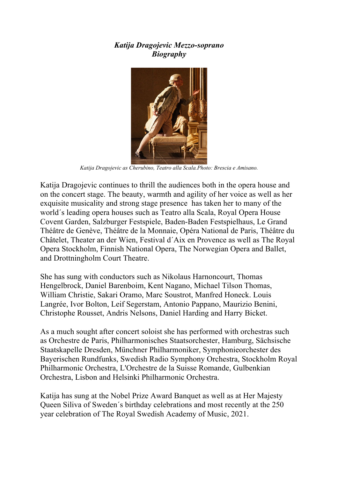## *Katija Dragojevic Mezzo-soprano Biography*



*Katija Dragojevic as Cherubino, Teatro alla Scala.Photo: Brescia e Amisano.*

Katija Dragojevic continues to thrill the audiences both in the opera house and on the concert stage. The beauty, warmth and agility of her voice as well as her exquisite musicality and strong stage presence has taken her to many of the world´s leading opera houses such as Teatro alla Scala, Royal Opera House Covent Garden, Salzburger Festspiele, Baden-Baden Festspielhaus, Le Grand Théâtre de Genève, Théâtre de la Monnaie, Opéra National de Paris, Théâtre du Châtelet, Theater an der Wien, Festival d´Aix en Provence as well as The Royal Opera Stockholm, Finnish National Opera, The Norwegian Opera and Ballet, and Drottningholm Court Theatre.

She has sung with conductors such as Nikolaus Harnoncourt, Thomas Hengelbrock, Daniel Barenboim, Kent Nagano, Michael Tilson Thomas, William Christie, Sakari Oramo, Marc Soustrot, Manfred Honeck. Louis Langrée, Ivor Bolton, Leif Segerstam, Antonio Pappano, Maurizio Benini, Christophe Rousset, Andris Nelsons, Daniel Harding and Harry Bicket.

As a much sought after concert soloist she has performed with orchestras such as Orchestre de Paris, Philharmonisches Staatsorchester, Hamburg, Sächsische Staatskapelle Dresden, Münchner Philharmoniker, Symphonieorchester des Bayerischen Rundfunks, Swedish Radio Symphony Orchestra, Stockholm Royal Philharmonic Orchestra, L'Orchestre de la Suisse Romande, Gulbenkian Orchestra, Lisbon and Helsinki Philharmonic Orchestra.

Katija has sung at the Nobel Prize Award Banquet as well as at Her Majesty Queen Siliva of Sweden´s birthday celebrations and most recently at the 250 year celebration of The Royal Swedish Academy of Music, 2021.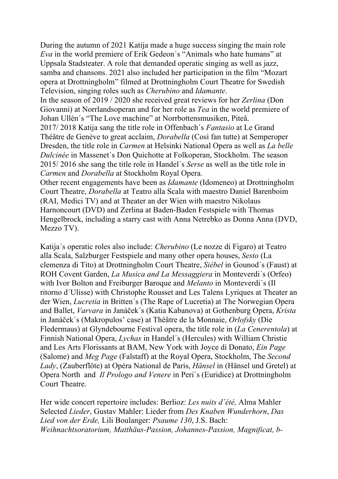During the autumn of 2021 Katija made a huge success singing the main role *Eva* in the world premiere of Erik Gedeon´s "Animals who hate humans" at Uppsala Stadsteater. A role that demanded operatic singing as well as jazz, samba and chansons. 2021 also included her participation in the film "Mozart opera at Drottningholm" filmed at Drottningholm Court Theatre for Swedish Television, singing roles such as *Cherubino* and *Idamante*.

In the season of 2019 / 2020 she received great reviews for her *Zerlina* (Don Giovanni) at Norrlandsoperan and for her role as *Tea* in the world premiere of Johan Ullén´s "The Love machine" at Norrbottensmusiken, Piteå.

2017/ 2018 Katija sang the title role in Offenbach´s *Fantasio* at Le Grand Théâtre de Genève to great acclaim, *Dorabella* (Così fan tutte) at Semperoper Dresden, the title role in *Carmen* at Helsinki National Opera as well as *La belle Dulcinée* in Massenet´s Don Quichotte at Folkoperan, Stockholm. The season 2015/ 2016 she sang the title role in Handel´s *Serse* as well as the title role in *Carmen* and *Dorabella* at Stockholm Royal Opera.

Other recent engagements have been as *Idamante* (Idomeneo) at Drottningholm Court Theatre, *Dorabella* at Teatro alla Scala with maestro Daniel Barenboim (RAI, Medici TV) and at Theater an der Wien with maestro Nikolaus Harnoncourt (DVD) and Zerlina at Baden-Baden Festspiele with Thomas Hengelbrock, including a starry cast with Anna Netrebko as Donna Anna (DVD, Mezzo TV).

Katija´s operatic roles also include: *Cherubino* (Le nozze di Figaro) at Teatro alla Scala, Salzburger Festspiele and many other opera houses, *Sesto* (La clemenza di Tito) at Drottningholm Court Theatre, *Siébel* in Gounod´s (Faust) at ROH Covent Garden, *La Musica and La Messaggiera* in Monteverdi´s (Orfeo) with Ivor Bolton and Freiburger Baroque and *Melanto* in Monteverdi´s (Il ritorno d´Ulisse) with Christophe Rousset and Les Talens Lyriques at Theater an der Wien, *Lucretia* in Britten´s (The Rape of Lucretia) at The Norwegian Opera and Ballet, *Varvara* in Janáček´s (Katia Kabanova) at Gothenburg Opera, *Krista* in Janáček´s (Makropulos' case) at Théâtre de la Monnaie, *Orlofsky* (Die Fledermaus) at Glyndebourne Festival opera, the title role in (*La Cenerentola*) at Finnish National Opera, *Lychas* in Handel´s (Hercules) with William Christie and Les Arts Florissants at BAM, New York with Joyce di Donato, *Ein Page* (Salome) and *Meg Page* (Falstaff) at the Royal Opera, Stockholm, The *Second Lady*, (Zauberflöte) at Opéra National de Paris, *Hänsel* in (Hänsel und Gretel) at Opera North and *Il Prologo and Venere* in Peri´s (Euridice) at Drottningholm Court Theatre.

Her wide concert repertoire includes: Berlioz: *Les nuits d´été,* Alma Mahler Selected *Lieder*, Gustav Mahler: Lieder from *Des Knaben Wunderhorn*, *Das Lied von der Erde,* Lili Boulanger: *Psaume 130*, J.S. Bach: *Weihnachtsoratorium, Matthäus-Passion, Johannes-Passion, Magnificat, b-*